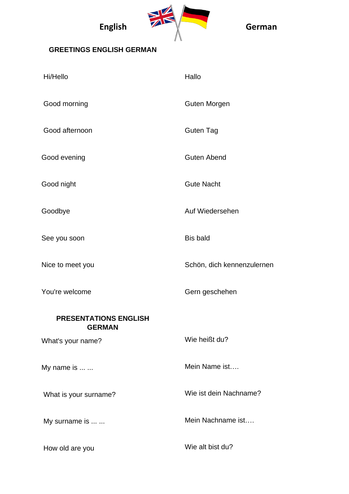

## **GREETINGS ENGLISH GERMAN**

| Hi/Hello                                      | Hallo                      |
|-----------------------------------------------|----------------------------|
| Good morning                                  | <b>Guten Morgen</b>        |
| Good afternoon                                | <b>Guten Tag</b>           |
| Good evening                                  | <b>Guten Abend</b>         |
| Good night                                    | <b>Gute Nacht</b>          |
| Goodbye                                       | Auf Wiedersehen            |
| See you soon                                  | <b>Bis bald</b>            |
| Nice to meet you                              | Schön, dich kennenzulernen |
| You're welcome                                | Gern geschehen             |
| <b>PRESENTATIONS ENGLISH</b><br><b>GERMAN</b> |                            |
| What's your name?                             | Wie heißt du?              |
| My name is                                    | Mein Name ist              |
| What is your surname?                         | Wie ist dein Nachname?     |
| My surname is                                 | Mein Nachname ist          |
| How old are you                               | Wie alt bist du?           |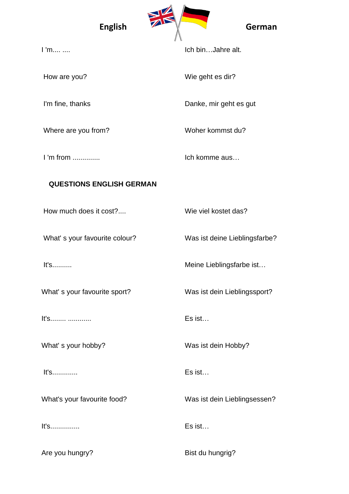

I 'm.... ....

How are you?

I'm fine, thanks

Where are you from?

I 'm from ..............

Ich bin…Jahre alt.

Wie geht es dir?

Danke, mir geht es gut

Woher kommst du?

Ich komme aus…

## **QUESTIONS ENGLISH GERMAN**

How much does it cost?....

What' s your favourite colour?

It's..........

What' s your favourite sport?

It's........ ............

What' s your hobby?

It's.............

What's your favourite food?

It's...............

Are you hungry?

Wie viel kostet das?

Was ist deine Lieblingsfarbe?

Meine Lieblingsfarbe ist…

Was ist dein Lieblingssport?

Es ist…

Was ist dein Hobby?

Es ist…

Was ist dein Lieblingsessen?

Es ist…

Bist du hungrig?